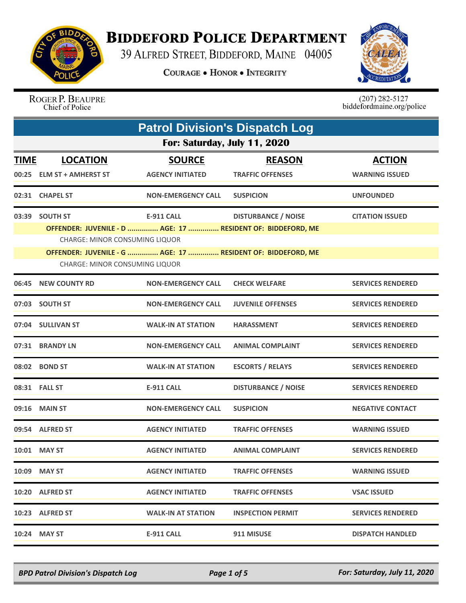

## **BIDDEFORD POLICE DEPARTMENT**

39 ALFRED STREET, BIDDEFORD, MAINE 04005

**COURAGE . HONOR . INTEGRITY** 



ROGER P. BEAUPRE Chief of Police

 $(207)$  282-5127<br>biddefordmaine.org/police

|             | <b>Patrol Division's Dispatch Log</b>                                                            |                                          |                                                                                                                                                          |                                        |  |  |
|-------------|--------------------------------------------------------------------------------------------------|------------------------------------------|----------------------------------------------------------------------------------------------------------------------------------------------------------|----------------------------------------|--|--|
|             | For: Saturday, July 11, 2020                                                                     |                                          |                                                                                                                                                          |                                        |  |  |
| <b>TIME</b> | <b>LOCATION</b><br>00:25 ELM ST + AMHERST ST                                                     | <b>SOURCE</b><br><b>AGENCY INITIATED</b> | <b>REASON</b><br><b>TRAFFIC OFFENSES</b>                                                                                                                 | <b>ACTION</b><br><b>WARNING ISSUED</b> |  |  |
|             | 02:31 CHAPEL ST                                                                                  | <b>NON-EMERGENCY CALL</b>                | <b>SUSPICION</b>                                                                                                                                         | <b>UNFOUNDED</b>                       |  |  |
|             | 03:39 SOUTH ST<br><b>CHARGE: MINOR CONSUMING LIQUOR</b><br><b>CHARGE: MINOR CONSUMING LIQUOR</b> | <b>E-911 CALL</b>                        | <b>DISTURBANCE / NOISE</b><br>OFFENDER: JUVENILE - D  AGE: 17  RESIDENT OF: BIDDEFORD, ME<br>OFFENDER: JUVENILE - G  AGE: 17  RESIDENT OF: BIDDEFORD, ME | <b>CITATION ISSUED</b>                 |  |  |
| 06:45       | <b>NEW COUNTY RD</b>                                                                             | <b>NON-EMERGENCY CALL</b>                | <b>CHECK WELFARE</b>                                                                                                                                     | <b>SERVICES RENDERED</b>               |  |  |
| 07:03       | <b>SOUTH ST</b>                                                                                  | <b>NON-EMERGENCY CALL</b>                | <b>JUVENILE OFFENSES</b>                                                                                                                                 | <b>SERVICES RENDERED</b>               |  |  |
|             | 07:04 SULLIVAN ST                                                                                | <b>WALK-IN AT STATION</b>                | <b>HARASSMENT</b>                                                                                                                                        | <b>SERVICES RENDERED</b>               |  |  |
|             | 07:31 BRANDY LN                                                                                  | <b>NON-EMERGENCY CALL</b>                | <b>ANIMAL COMPLAINT</b>                                                                                                                                  | <b>SERVICES RENDERED</b>               |  |  |
|             | 08:02 BOND ST                                                                                    | <b>WALK-IN AT STATION</b>                | <b>ESCORTS / RELAYS</b>                                                                                                                                  | <b>SERVICES RENDERED</b>               |  |  |
|             | 08:31 FALL ST                                                                                    | <b>E-911 CALL</b>                        | <b>DISTURBANCE / NOISE</b>                                                                                                                               | <b>SERVICES RENDERED</b>               |  |  |
|             | 09:16 MAIN ST                                                                                    | <b>NON-EMERGENCY CALL</b>                | <b>SUSPICION</b>                                                                                                                                         | <b>NEGATIVE CONTACT</b>                |  |  |
|             | 09:54 ALFRED ST                                                                                  | <b>AGENCY INITIATED</b>                  | <b>TRAFFIC OFFENSES</b>                                                                                                                                  | <b>WARNING ISSUED</b>                  |  |  |
|             | 10:01 MAY ST                                                                                     | <b>AGENCY INITIATED</b>                  | <b>ANIMAL COMPLAINT</b>                                                                                                                                  | <b>SERVICES RENDERED</b>               |  |  |
|             | 10:09 MAY ST                                                                                     | <b>AGENCY INITIATED</b>                  | <b>TRAFFIC OFFENSES</b>                                                                                                                                  | <b>WARNING ISSUED</b>                  |  |  |
|             | 10:20 ALFRED ST                                                                                  | <b>AGENCY INITIATED</b>                  | <b>TRAFFIC OFFENSES</b>                                                                                                                                  | <b>VSAC ISSUED</b>                     |  |  |
|             | 10:23 ALFRED ST                                                                                  | WALK-IN AT STATION                       | <b>INSPECTION PERMIT</b>                                                                                                                                 | <b>SERVICES RENDERED</b>               |  |  |
|             | 10:24 MAY ST                                                                                     | <b>E-911 CALL</b>                        | 911 MISUSE                                                                                                                                               | <b>DISPATCH HANDLED</b>                |  |  |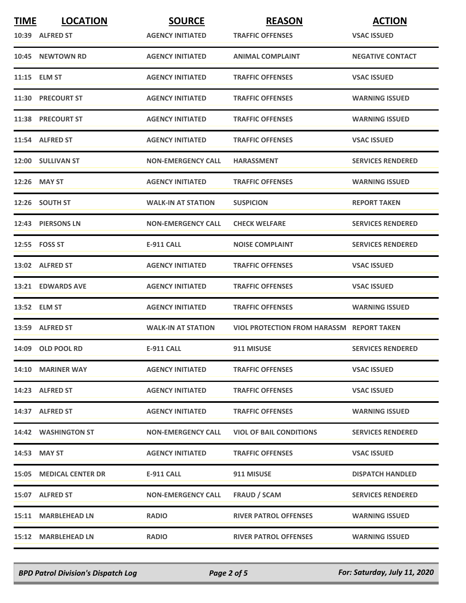| <b>TIME</b> | <b>LOCATION</b>                | <b>SOURCE</b>             | <b>REASON</b>                                    | <b>ACTION</b>            |
|-------------|--------------------------------|---------------------------|--------------------------------------------------|--------------------------|
|             | 10:39 ALFRED ST                | <b>AGENCY INITIATED</b>   | <b>TRAFFIC OFFENSES</b>                          | <b>VSAC ISSUED</b>       |
|             | 10:45 NEWTOWN RD               | <b>AGENCY INITIATED</b>   | <b>ANIMAL COMPLAINT</b>                          | <b>NEGATIVE CONTACT</b>  |
|             | 11:15 ELM ST                   | <b>AGENCY INITIATED</b>   | <b>TRAFFIC OFFENSES</b>                          | <b>VSAC ISSUED</b>       |
|             | 11:30 PRECOURT ST              | <b>AGENCY INITIATED</b>   | <b>TRAFFIC OFFENSES</b>                          | <b>WARNING ISSUED</b>    |
|             | 11:38 PRECOURT ST              | <b>AGENCY INITIATED</b>   | <b>TRAFFIC OFFENSES</b>                          | <b>WARNING ISSUED</b>    |
|             | 11:54 ALFRED ST                | <b>AGENCY INITIATED</b>   | <b>TRAFFIC OFFENSES</b>                          | <b>VSAC ISSUED</b>       |
|             | 12:00 SULLIVAN ST              | <b>NON-EMERGENCY CALL</b> | <b>HARASSMENT</b>                                | <b>SERVICES RENDERED</b> |
|             | 12:26 MAY ST                   | <b>AGENCY INITIATED</b>   | <b>TRAFFIC OFFENSES</b>                          | <b>WARNING ISSUED</b>    |
|             | 12:26 SOUTH ST                 | <b>WALK-IN AT STATION</b> | <b>SUSPICION</b>                                 | <b>REPORT TAKEN</b>      |
|             | 12:43 PIERSONS LN              | <b>NON-EMERGENCY CALL</b> | <b>CHECK WELFARE</b>                             | <b>SERVICES RENDERED</b> |
|             | 12:55    FOSS ST               | E-911 CALL                | <b>NOISE COMPLAINT</b>                           | <b>SERVICES RENDERED</b> |
|             | 13:02 ALFRED ST                | <b>AGENCY INITIATED</b>   | <b>TRAFFIC OFFENSES</b>                          | <b>VSAC ISSUED</b>       |
|             | 13:21 EDWARDS AVE              | <b>AGENCY INITIATED</b>   | <b>TRAFFIC OFFENSES</b>                          | <b>VSAC ISSUED</b>       |
|             | 13:52 ELM ST                   | <b>AGENCY INITIATED</b>   | <b>TRAFFIC OFFENSES</b>                          | <b>WARNING ISSUED</b>    |
|             | 13:59 ALFRED ST                | <b>WALK-IN AT STATION</b> | <b>VIOL PROTECTION FROM HARASSM REPORT TAKEN</b> |                          |
|             | 14:09 OLD POOL RD              | <b>E-911 CALL</b>         | 911 MISUSE                                       | <b>SERVICES RENDERED</b> |
|             | 14:10 MARINER WAY              | <b>AGENCY INITIATED</b>   | <b>TRAFFIC OFFENSES</b>                          | <b>VSAC ISSUED</b>       |
|             | 14:23 ALFRED ST                | <b>AGENCY INITIATED</b>   | <b>TRAFFIC OFFENSES</b>                          | <b>VSAC ISSUED</b>       |
|             | 14:37 ALFRED ST                | <b>AGENCY INITIATED</b>   | <b>TRAFFIC OFFENSES</b>                          | <b>WARNING ISSUED</b>    |
|             | 14:42 WASHINGTON ST            | <b>NON-EMERGENCY CALL</b> | <b>VIOL OF BAIL CONDITIONS</b>                   | <b>SERVICES RENDERED</b> |
|             | 14:53 MAY ST                   | <b>AGENCY INITIATED</b>   | <b>TRAFFIC OFFENSES</b>                          | <b>VSAC ISSUED</b>       |
|             | <b>15:05 MEDICAL CENTER DR</b> | E-911 CALL                | 911 MISUSE                                       | <b>DISPATCH HANDLED</b>  |
|             | 15:07 ALFRED ST                | <b>NON-EMERGENCY CALL</b> | <b>FRAUD / SCAM</b>                              | <b>SERVICES RENDERED</b> |
|             | 15:11 MARBLEHEAD LN            | <b>RADIO</b>              | <b>RIVER PATROL OFFENSES</b>                     | <b>WARNING ISSUED</b>    |
|             | 15:12 MARBLEHEAD LN            | <b>RADIO</b>              | <b>RIVER PATROL OFFENSES</b>                     | <b>WARNING ISSUED</b>    |

*BPD Patrol Division's Dispatch Log Page 2 of 5 For: Saturday, July 11, 2020*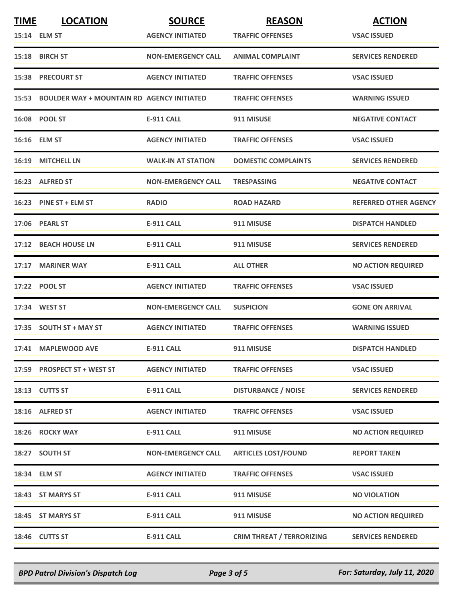| <b>TIME</b> | <b>LOCATION</b>                                  | <b>SOURCE</b>             | <b>REASON</b>                    | <b>ACTION</b>                |
|-------------|--------------------------------------------------|---------------------------|----------------------------------|------------------------------|
|             | 15:14 ELM ST                                     | <b>AGENCY INITIATED</b>   | <b>TRAFFIC OFFENSES</b>          | <b>VSAC ISSUED</b>           |
|             | 15:18 BIRCH ST                                   | <b>NON-EMERGENCY CALL</b> | <b>ANIMAL COMPLAINT</b>          | <b>SERVICES RENDERED</b>     |
|             | <b>15:38 PRECOURT ST</b>                         | <b>AGENCY INITIATED</b>   | <b>TRAFFIC OFFENSES</b>          | <b>VSAC ISSUED</b>           |
|             | 15:53 BOULDER WAY + MOUNTAIN RD AGENCY INITIATED |                           | <b>TRAFFIC OFFENSES</b>          | <b>WARNING ISSUED</b>        |
|             | 16:08 POOL ST                                    | <b>E-911 CALL</b>         | 911 MISUSE                       | <b>NEGATIVE CONTACT</b>      |
|             | 16:16 ELM ST                                     | <b>AGENCY INITIATED</b>   | <b>TRAFFIC OFFENSES</b>          | <b>VSAC ISSUED</b>           |
|             | 16:19 MITCHELL LN                                | <b>WALK-IN AT STATION</b> | <b>DOMESTIC COMPLAINTS</b>       | <b>SERVICES RENDERED</b>     |
|             | 16:23 ALFRED ST                                  | <b>NON-EMERGENCY CALL</b> | <b>TRESPASSING</b>               | <b>NEGATIVE CONTACT</b>      |
|             | 16:23 PINE ST + ELM ST                           | <b>RADIO</b>              | <b>ROAD HAZARD</b>               | <b>REFERRED OTHER AGENCY</b> |
|             | 17:06 PEARL ST                                   | <b>E-911 CALL</b>         | 911 MISUSE                       | <b>DISPATCH HANDLED</b>      |
|             | 17:12 BEACH HOUSE LN                             | <b>E-911 CALL</b>         | 911 MISUSE                       | <b>SERVICES RENDERED</b>     |
|             | 17:17 MARINER WAY                                | <b>E-911 CALL</b>         | <b>ALL OTHER</b>                 | <b>NO ACTION REQUIRED</b>    |
|             | 17:22 POOL ST                                    | <b>AGENCY INITIATED</b>   | <b>TRAFFIC OFFENSES</b>          | <b>VSAC ISSUED</b>           |
|             | 17:34 WEST ST                                    | <b>NON-EMERGENCY CALL</b> | <b>SUSPICION</b>                 | <b>GONE ON ARRIVAL</b>       |
|             | 17:35 SOUTH ST + MAY ST                          | <b>AGENCY INITIATED</b>   | <b>TRAFFIC OFFENSES</b>          | <b>WARNING ISSUED</b>        |
|             | 17:41 MAPLEWOOD AVE                              | <b>E-911 CALL</b>         | 911 MISUSE                       | <b>DISPATCH HANDLED</b>      |
|             | 17:59 PROSPECT ST + WEST ST                      | <b>AGENCY INITIATED</b>   | <b>TRAFFIC OFFENSES</b>          | <b>VSAC ISSUED</b>           |
|             | 18:13 CUTTS ST                                   | <b>E-911 CALL</b>         | <b>DISTURBANCE / NOISE</b>       | <b>SERVICES RENDERED</b>     |
|             | 18:16 ALFRED ST                                  | <b>AGENCY INITIATED</b>   | <b>TRAFFIC OFFENSES</b>          | <b>VSAC ISSUED</b>           |
|             | 18:26 ROCKY WAY                                  | <b>E-911 CALL</b>         | 911 MISUSE                       | <b>NO ACTION REQUIRED</b>    |
|             | 18:27 SOUTH ST                                   | <b>NON-EMERGENCY CALL</b> | <b>ARTICLES LOST/FOUND</b>       | <b>REPORT TAKEN</b>          |
|             | 18:34 ELM ST                                     | <b>AGENCY INITIATED</b>   | <b>TRAFFIC OFFENSES</b>          | <b>VSAC ISSUED</b>           |
|             | 18:43 ST MARYS ST                                | E-911 CALL                | 911 MISUSE                       | <b>NO VIOLATION</b>          |
|             | 18:45 ST MARYS ST                                | <b>E-911 CALL</b>         | 911 MISUSE                       | <b>NO ACTION REQUIRED</b>    |
|             | 18:46 CUTTS ST                                   | <b>E-911 CALL</b>         | <b>CRIM THREAT / TERRORIZING</b> | <b>SERVICES RENDERED</b>     |

*BPD Patrol Division's Dispatch Log Page 3 of 5 For: Saturday, July 11, 2020*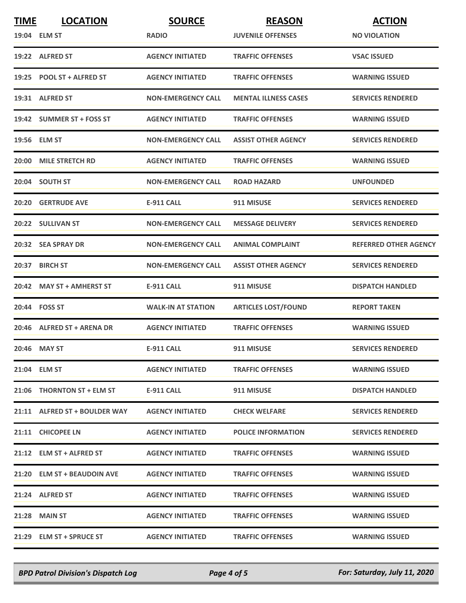| <b>TIME</b> | <b>LOCATION</b>               | <b>SOURCE</b>             | <b>REASON</b>               | <b>ACTION</b>                |
|-------------|-------------------------------|---------------------------|-----------------------------|------------------------------|
|             | 19:04 ELM ST                  | <b>RADIO</b>              | <b>JUVENILE OFFENSES</b>    | <b>NO VIOLATION</b>          |
|             | 19:22 ALFRED ST               | <b>AGENCY INITIATED</b>   | <b>TRAFFIC OFFENSES</b>     | <b>VSAC ISSUED</b>           |
|             | 19:25 POOL ST + ALFRED ST     | <b>AGENCY INITIATED</b>   | <b>TRAFFIC OFFENSES</b>     | <b>WARNING ISSUED</b>        |
|             | 19:31 ALFRED ST               | <b>NON-EMERGENCY CALL</b> | <b>MENTAL ILLNESS CASES</b> | <b>SERVICES RENDERED</b>     |
|             | 19:42 SUMMER ST + FOSS ST     | <b>AGENCY INITIATED</b>   | <b>TRAFFIC OFFENSES</b>     | <b>WARNING ISSUED</b>        |
|             | 19:56 ELM ST                  | <b>NON-EMERGENCY CALL</b> | <b>ASSIST OTHER AGENCY</b>  | <b>SERVICES RENDERED</b>     |
|             | 20:00 MILE STRETCH RD         | <b>AGENCY INITIATED</b>   | <b>TRAFFIC OFFENSES</b>     | <b>WARNING ISSUED</b>        |
|             | 20:04 SOUTH ST                | <b>NON-EMERGENCY CALL</b> | <b>ROAD HAZARD</b>          | <b>UNFOUNDED</b>             |
|             | 20:20 GERTRUDE AVE            | <b>E-911 CALL</b>         | 911 MISUSE                  | <b>SERVICES RENDERED</b>     |
|             | 20:22 SULLIVAN ST             | <b>NON-EMERGENCY CALL</b> | <b>MESSAGE DELIVERY</b>     | <b>SERVICES RENDERED</b>     |
|             | 20:32 SEA SPRAY DR            | <b>NON-EMERGENCY CALL</b> | <b>ANIMAL COMPLAINT</b>     | <b>REFERRED OTHER AGENCY</b> |
|             | 20:37 BIRCH ST                | <b>NON-EMERGENCY CALL</b> | <b>ASSIST OTHER AGENCY</b>  | <b>SERVICES RENDERED</b>     |
|             | 20:42 MAY ST + AMHERST ST     | <b>E-911 CALL</b>         | 911 MISUSE                  | <b>DISPATCH HANDLED</b>      |
|             | 20:44 FOSS ST                 | <b>WALK-IN AT STATION</b> | <b>ARTICLES LOST/FOUND</b>  | <b>REPORT TAKEN</b>          |
|             | 20:46 ALFRED ST + ARENA DR    | <b>AGENCY INITIATED</b>   | <b>TRAFFIC OFFENSES</b>     | <b>WARNING ISSUED</b>        |
|             | 20:46 MAY ST                  | <b>E-911 CALL</b>         | 911 MISUSE                  | <b>SERVICES RENDERED</b>     |
|             | 21:04 ELM ST                  | <b>AGENCY INITIATED</b>   | <b>TRAFFIC OFFENSES</b>     | <b>WARNING ISSUED</b>        |
|             | 21:06 THORNTON ST + ELM ST    | E-911 CALL                | 911 MISUSE                  | <b>DISPATCH HANDLED</b>      |
|             | 21:11 ALFRED ST + BOULDER WAY | <b>AGENCY INITIATED</b>   | <b>CHECK WELFARE</b>        | <b>SERVICES RENDERED</b>     |
|             | 21:11 CHICOPEE LN             | <b>AGENCY INITIATED</b>   | <b>POLICE INFORMATION</b>   | <b>SERVICES RENDERED</b>     |
|             | 21:12 ELM ST + ALFRED ST      | <b>AGENCY INITIATED</b>   | <b>TRAFFIC OFFENSES</b>     | <b>WARNING ISSUED</b>        |
|             | 21:20 ELM ST + BEAUDOIN AVE   | <b>AGENCY INITIATED</b>   | <b>TRAFFIC OFFENSES</b>     | <b>WARNING ISSUED</b>        |
|             | 21:24 ALFRED ST               | <b>AGENCY INITIATED</b>   | <b>TRAFFIC OFFENSES</b>     | <b>WARNING ISSUED</b>        |
|             | 21:28 MAIN ST                 | <b>AGENCY INITIATED</b>   | <b>TRAFFIC OFFENSES</b>     | <b>WARNING ISSUED</b>        |
|             | 21:29 ELM ST + SPRUCE ST      | <b>AGENCY INITIATED</b>   | <b>TRAFFIC OFFENSES</b>     | <b>WARNING ISSUED</b>        |

*BPD Patrol Division's Dispatch Log Page 4 of 5 For: Saturday, July 11, 2020*